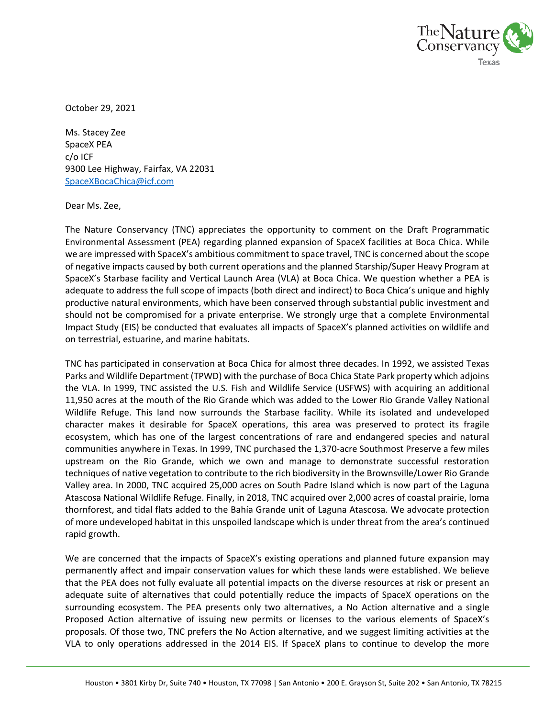

October 29, 2021

Ms. Stacey Zee SpaceX PEA c/o ICF 9300 Lee Highway, Fairfax, VA 22031 [SpaceXBocaChica@icf.com](mailto:SpaceXBocaChica@icf.com)

Dear Ms. Zee,

The Nature Conservancy (TNC) appreciates the opportunity to comment on the Draft Programmatic Environmental Assessment (PEA) regarding planned expansion of SpaceX facilities at Boca Chica. While we are impressed with SpaceX's ambitious commitment to space travel, TNC is concerned about the scope of negative impacts caused by both current operations and the planned Starship/Super Heavy Program at SpaceX's Starbase facility and Vertical Launch Area (VLA) at Boca Chica. We question whether a PEA is adequate to address the full scope of impacts (both direct and indirect) to Boca Chica's unique and highly productive natural environments, which have been conserved through substantial public investment and should not be compromised for a private enterprise. We strongly urge that a complete Environmental Impact Study (EIS) be conducted that evaluates all impacts of SpaceX's planned activities on wildlife and on terrestrial, estuarine, and marine habitats.

TNC has participated in conservation at Boca Chica for almost three decades. In 1992, we assisted Texas Parks and Wildlife Department (TPWD) with the purchase of Boca Chica State Park property which adjoins the VLA. In 1999, TNC assisted the U.S. Fish and Wildlife Service (USFWS) with acquiring an additional 11,950 acres at the mouth of the Rio Grande which was added to the Lower Rio Grande Valley National Wildlife Refuge. This land now surrounds the Starbase facility. While its isolated and undeveloped character makes it desirable for SpaceX operations, this area was preserved to protect its fragile ecosystem, which has one of the largest concentrations of rare and endangered species and natural communities anywhere in Texas. In 1999, TNC purchased the 1,370-acre Southmost Preserve a few miles upstream on the Rio Grande, which we own and manage to demonstrate successful restoration techniques of native vegetation to contribute to the rich biodiversity in the Brownsville/Lower Rio Grande Valley area. In 2000, TNC acquired 25,000 acres on South Padre Island which is now part of the Laguna Atascosa National Wildlife Refuge. Finally, in 2018, TNC acquired over 2,000 acres of coastal prairie, loma thornforest, and tidal flats added to the Bahía Grande unit of Laguna Atascosa. We advocate protection of more undeveloped habitat in this unspoiled landscape which is under threat from the area's continued rapid growth.

We are concerned that the impacts of SpaceX's existing operations and planned future expansion may permanently affect and impair conservation values for which these lands were established. We believe that the PEA does not fully evaluate all potential impacts on the diverse resources at risk or present an adequate suite of alternatives that could potentially reduce the impacts of SpaceX operations on the surrounding ecosystem. The PEA presents only two alternatives, a No Action alternative and a single Proposed Action alternative of issuing new permits or licenses to the various elements of SpaceX's proposals. Of those two, TNC prefers the No Action alternative, and we suggest limiting activities at the VLA to only operations addressed in the 2014 EIS. If SpaceX plans to continue to develop the more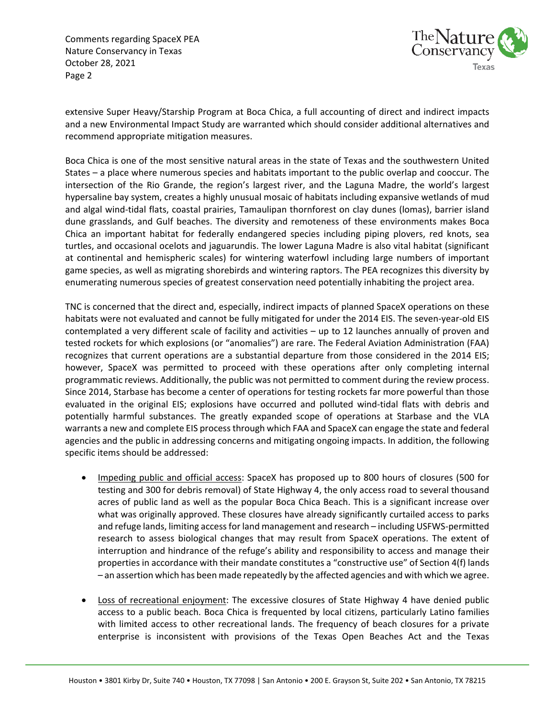Comments regarding SpaceX PEA Nature Conservancy in Texas October 28, 2021 Page 2



extensive Super Heavy/Starship Program at Boca Chica, a full accounting of direct and indirect impacts and a new Environmental Impact Study are warranted which should consider additional alternatives and recommend appropriate mitigation measures.

Boca Chica is one of the most sensitive natural areas in the state of Texas and the southwestern United States – a place where numerous species and habitats important to the public overlap and cooccur. The intersection of the Rio Grande, the region's largest river, and the Laguna Madre, the world's largest hypersaline bay system, creates a highly unusual mosaic of habitats including expansive wetlands of mud and algal wind-tidal flats, coastal prairies, Tamaulipan thornforest on clay dunes (lomas), barrier island dune grasslands, and Gulf beaches. The diversity and remoteness of these environments makes Boca Chica an important habitat for federally endangered species including piping plovers, red knots, sea turtles, and occasional ocelots and jaguarundis. The lower Laguna Madre is also vital habitat (significant at continental and hemispheric scales) for wintering waterfowl including large numbers of important game species, as well as migrating shorebirds and wintering raptors. The PEA recognizes this diversity by enumerating numerous species of greatest conservation need potentially inhabiting the project area.

TNC is concerned that the direct and, especially, indirect impacts of planned SpaceX operations on these habitats were not evaluated and cannot be fully mitigated for under the 2014 EIS. The seven-year-old EIS contemplated a very different scale of facility and activities – up to 12 launches annually of proven and tested rockets for which explosions (or "anomalies") are rare. The Federal Aviation Administration (FAA) recognizes that current operations are a substantial departure from those considered in the 2014 EIS; however, SpaceX was permitted to proceed with these operations after only completing internal programmatic reviews. Additionally, the public was not permitted to comment during the review process. Since 2014, Starbase has become a center of operations for testing rockets far more powerful than those evaluated in the original EIS; explosions have occurred and polluted wind-tidal flats with debris and potentially harmful substances. The greatly expanded scope of operations at Starbase and the VLA warrants a new and complete EIS process through which FAA and SpaceX can engage the state and federal agencies and the public in addressing concerns and mitigating ongoing impacts. In addition, the following specific items should be addressed:

- Impeding public and official access: SpaceX has proposed up to 800 hours of closures (500 for testing and 300 for debris removal) of State Highway 4, the only access road to several thousand acres of public land as well as the popular Boca Chica Beach. This is a significant increase over what was originally approved. These closures have already significantly curtailed access to parks and refuge lands, limiting accessfor land management and research – including USFWS-permitted research to assess biological changes that may result from SpaceX operations. The extent of interruption and hindrance of the refuge's ability and responsibility to access and manage their properties in accordance with their mandate constitutes a "constructive use" of Section 4(f) lands – an assertion which has been made repeatedly by the affected agencies and with which we agree.
- Loss of recreational enjoyment: The excessive closures of State Highway 4 have denied public access to a public beach. Boca Chica is frequented by local citizens, particularly Latino families with limited access to other recreational lands. The frequency of beach closures for a private enterprise is inconsistent with provisions of the Texas Open Beaches Act and the Texas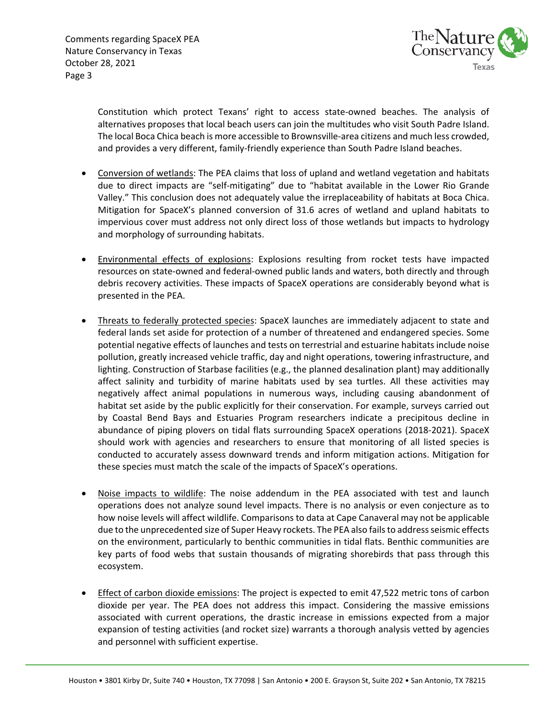

Constitution which protect Texans' right to access state-owned beaches. The analysis of alternatives proposes that local beach users can join the multitudes who visit South Padre Island. The local Boca Chica beach is more accessible to Brownsville-area citizens and much less crowded, and provides a very different, family-friendly experience than South Padre Island beaches.

- Conversion of wetlands: The PEA claims that loss of upland and wetland vegetation and habitats due to direct impacts are "self-mitigating" due to "habitat available in the Lower Rio Grande Valley." This conclusion does not adequately value the irreplaceability of habitats at Boca Chica. Mitigation for SpaceX's planned conversion of 31.6 acres of wetland and upland habitats to impervious cover must address not only direct loss of those wetlands but impacts to hydrology and morphology of surrounding habitats.
- **Environmental effects of explosions: Explosions resulting from rocket tests have impacted** resources on state-owned and federal-owned public lands and waters, both directly and through debris recovery activities. These impacts of SpaceX operations are considerably beyond what is presented in the PEA.
- Threats to federally protected species: SpaceX launches are immediately adjacent to state and federal lands set aside for protection of a number of threatened and endangered species. Some potential negative effects of launches and tests on terrestrial and estuarine habitats include noise pollution, greatly increased vehicle traffic, day and night operations, towering infrastructure, and lighting. Construction of Starbase facilities (e.g., the planned desalination plant) may additionally affect salinity and turbidity of marine habitats used by sea turtles. All these activities may negatively affect animal populations in numerous ways, including causing abandonment of habitat set aside by the public explicitly for their conservation. For example, surveys carried out by Coastal Bend Bays and Estuaries Program researchers indicate a precipitous decline in abundance of piping plovers on tidal flats surrounding SpaceX operations (2018-2021). SpaceX should work with agencies and researchers to ensure that monitoring of all listed species is conducted to accurately assess downward trends and inform mitigation actions. Mitigation for these species must match the scale of the impacts of SpaceX's operations.
- Noise impacts to wildlife: The noise addendum in the PEA associated with test and launch operations does not analyze sound level impacts. There is no analysis or even conjecture as to how noise levels will affect wildlife. Comparisons to data at Cape Canaveral may not be applicable due to the unprecedented size of Super Heavy rockets. The PEA also fails to address seismic effects on the environment, particularly to benthic communities in tidal flats. Benthic communities are key parts of food webs that sustain thousands of migrating shorebirds that pass through this ecosystem.
- Effect of carbon dioxide emissions: The project is expected to emit 47,522 metric tons of carbon dioxide per year. The PEA does not address this impact. Considering the massive emissions associated with current operations, the drastic increase in emissions expected from a major expansion of testing activities (and rocket size) warrants a thorough analysis vetted by agencies and personnel with sufficient expertise.